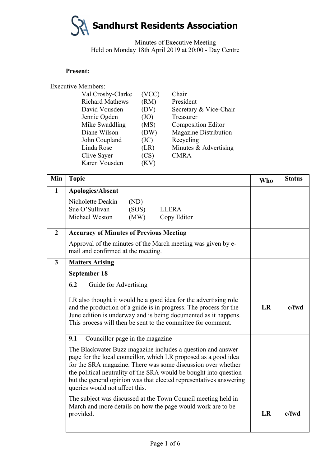Minutes of Executive Meeting Held on Monday 18th April 2019 at 20:00 - Day Centre

### **Present:**

| <b>Executive Members:</b> |                        |       |                              |
|---------------------------|------------------------|-------|------------------------------|
|                           | Val Crosby-Clarke      | (VCC) | Chair                        |
|                           | <b>Richard Mathews</b> | (RM)  | President                    |
|                           | David Vousden          | (DV)  | Secretary & Vice-Chair       |
|                           | Jennie Ogden           | (JO)  | Treasurer                    |
|                           | Mike Swaddling         | (MS)  | <b>Composition Editor</b>    |
|                           | Diane Wilson           | (DW)  | <b>Magazine Distribution</b> |
|                           | John Coupland          | (JC)  | Recycling                    |
|                           | Linda Rose             | (LR)  | Minutes & Advertising        |
|                           | Clive Sayer            | (CS)  | <b>CMRA</b>                  |
|                           | Karen Vousden          | (KV)  |                              |
|                           |                        |       |                              |

| Min            | <b>Topic</b>                                                                                                                                                                                                                                                                                                                                                                | <b>Who</b> | <b>Status</b> |
|----------------|-----------------------------------------------------------------------------------------------------------------------------------------------------------------------------------------------------------------------------------------------------------------------------------------------------------------------------------------------------------------------------|------------|---------------|
| $\mathbf{1}$   | <b>Apologies/Absent</b>                                                                                                                                                                                                                                                                                                                                                     |            |               |
|                | Nicholette Deakin<br>(ND)<br>Sue O'Sullivan<br>(SOS)<br><b>LLERA</b><br>Michael Weston<br>(MW)<br>Copy Editor                                                                                                                                                                                                                                                               |            |               |
| $\overline{2}$ | <b>Accuracy of Minutes of Previous Meeting</b>                                                                                                                                                                                                                                                                                                                              |            |               |
|                | Approval of the minutes of the March meeting was given by e-<br>mail and confirmed at the meeting.                                                                                                                                                                                                                                                                          |            |               |
| $\mathbf{3}$   | <b>Matters Arising</b>                                                                                                                                                                                                                                                                                                                                                      |            |               |
|                | <b>September 18</b>                                                                                                                                                                                                                                                                                                                                                         |            |               |
|                | 6.2<br>Guide for Advertising                                                                                                                                                                                                                                                                                                                                                |            |               |
|                | LR also thought it would be a good idea for the advertising role<br>and the production of a guide is in progress. The process for the<br>June edition is underway and is being documented as it happens.<br>This process will then be sent to the committee for comment.<br>Councillor page in the magazine<br>9.1                                                          |            | c/fwd         |
|                |                                                                                                                                                                                                                                                                                                                                                                             |            |               |
|                | The Blackwater Buzz magazine includes a question and answer<br>page for the local councillor, which LR proposed as a good idea<br>for the SRA magazine. There was some discussion over whether<br>the political neutrality of the SRA would be bought into question<br>but the general opinion was that elected representatives answering<br>queries would not affect this. |            |               |
|                | The subject was discussed at the Town Council meeting held in<br>March and more details on how the page would work are to be<br>provided.                                                                                                                                                                                                                                   | LR         | c/fwd         |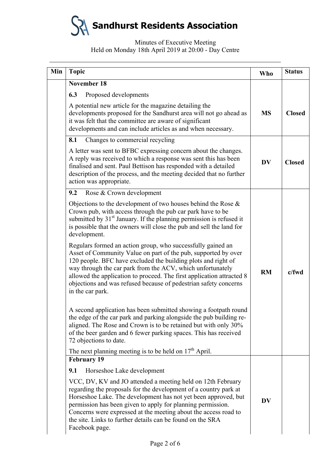| Min | <b>Topic</b>                                                                                                                                                                                                                                                                                                                                                                                                                  | Who       | <b>Status</b> |
|-----|-------------------------------------------------------------------------------------------------------------------------------------------------------------------------------------------------------------------------------------------------------------------------------------------------------------------------------------------------------------------------------------------------------------------------------|-----------|---------------|
|     | <b>November 18</b>                                                                                                                                                                                                                                                                                                                                                                                                            |           |               |
|     | 6.3<br>Proposed developments                                                                                                                                                                                                                                                                                                                                                                                                  |           |               |
|     | A potential new article for the magazine detailing the<br>developments proposed for the Sandhurst area will not go ahead as<br>it was felt that the committee are aware of significant<br>developments and can include articles as and when necessary.                                                                                                                                                                        | <b>MS</b> | <b>Closed</b> |
|     | 8.1<br>Changes to commercial recycling                                                                                                                                                                                                                                                                                                                                                                                        |           |               |
|     | A letter was sent to BFBC expressing concern about the changes.<br>A reply was received to which a response was sent this has been<br>finalised and sent. Paul Bettison has responded with a detailed<br>description of the process, and the meeting decided that no further<br>action was appropriate.                                                                                                                       | <b>DV</b> | <b>Closed</b> |
|     | 9.2<br>Rose & Crown development                                                                                                                                                                                                                                                                                                                                                                                               |           |               |
|     | Objections to the development of two houses behind the Rose $\&$<br>Crown pub, with access through the pub car park have to be<br>submitted by 31 <sup>st</sup> January. If the planning permission is refused it<br>is possible that the owners will close the pub and sell the land for<br>development.                                                                                                                     |           |               |
|     | Regulars formed an action group, who successfully gained an<br>Asset of Community Value on part of the pub, supported by over<br>120 people. BFC have excluded the building plots and right of<br>way through the car park from the ACV, which unfortunately<br>allowed the application to proceed. The first application attracted 8<br>objections and was refused because of pedestrian safety concerns<br>in the car park. | <b>RM</b> | c/fwd         |
|     | A second application has been submitted showing a footpath round<br>the edge of the car park and parking alongside the pub building re-<br>aligned. The Rose and Crown is to be retained but with only 30%<br>of the beer garden and 6 fewer parking spaces. This has received<br>72 objections to date.                                                                                                                      |           |               |
|     | The next planning meeting is to be held on $17th$ April.<br><b>February 19</b>                                                                                                                                                                                                                                                                                                                                                |           |               |
|     | Horseshoe Lake development<br>9.1                                                                                                                                                                                                                                                                                                                                                                                             |           |               |
|     | VCC, DV, KV and JO attended a meeting held on 12th February<br>regarding the proposals for the development of a country park at<br>Horseshoe Lake. The development has not yet been approved, but<br>permission has been given to apply for planning permission.<br>Concerns were expressed at the meeting about the access road to<br>the site. Links to further details can be found on the SRA<br>Facebook page.           | <b>DV</b> |               |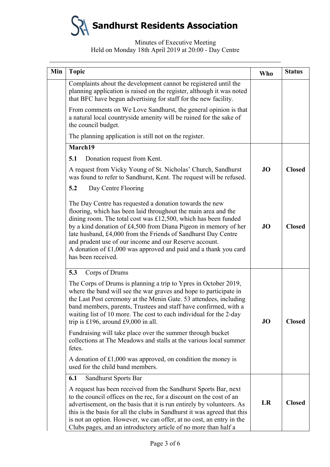| Min | <b>Topic</b>                                                                                                                                                                                                                                                                                                                                                                                                                                                                          | <b>Who</b> | <b>Status</b> |
|-----|---------------------------------------------------------------------------------------------------------------------------------------------------------------------------------------------------------------------------------------------------------------------------------------------------------------------------------------------------------------------------------------------------------------------------------------------------------------------------------------|------------|---------------|
|     | Complaints about the development cannot be registered until the<br>planning application is raised on the register, although it was noted<br>that BFC have begun advertising for staff for the new facility.                                                                                                                                                                                                                                                                           |            |               |
|     | From comments on We Love Sandhurst, the general opinion is that<br>a natural local countryside amenity will be ruined for the sake of<br>the council budget.                                                                                                                                                                                                                                                                                                                          |            |               |
|     | The planning application is still not on the register.                                                                                                                                                                                                                                                                                                                                                                                                                                |            |               |
|     | March19                                                                                                                                                                                                                                                                                                                                                                                                                                                                               |            |               |
|     | 5.1<br>Donation request from Kent.                                                                                                                                                                                                                                                                                                                                                                                                                                                    |            |               |
|     | A request from Vicky Young of St. Nicholas' Church, Sandhurst<br>was found to refer to Sandhurst, Kent. The request will be refused.                                                                                                                                                                                                                                                                                                                                                  | JO         | <b>Closed</b> |
|     | 5.2<br>Day Centre Flooring                                                                                                                                                                                                                                                                                                                                                                                                                                                            |            |               |
|     | The Day Centre has requested a donation towards the new<br>flooring, which has been laid throughout the main area and the<br>dining room. The total cost was $£12,500$ , which has been funded<br>by a kind donation of £4,500 from Diana Pigeon in memory of her<br>late husband, £4,000 from the Friends of Sandhurst Day Centre<br>and prudent use of our income and our Reserve account.<br>A donation of £1,000 was approved and paid and a thank you card<br>has been received. | JO         | <b>Closed</b> |
|     | 5.3<br>Corps of Drums                                                                                                                                                                                                                                                                                                                                                                                                                                                                 |            |               |
|     | The Corps of Drums is planning a trip to Ypres in October 2019,<br>where the band will see the war graves and hope to participate in<br>the Last Post ceremony at the Menin Gate. 53 attendees, including<br>band members, parents, Trustees and staff have confirmed, with a<br>waiting list of 10 more. The cost to each individual for the 2-day<br>trip is £196, around £9,000 in all.                                                                                            | JO         | <b>Closed</b> |
|     | Fundraising will take place over the summer through bucket<br>collections at The Meadows and stalls at the various local summer<br>fetes.                                                                                                                                                                                                                                                                                                                                             |            |               |
|     | A donation of $£1,000$ was approved, on condition the money is<br>used for the child band members.                                                                                                                                                                                                                                                                                                                                                                                    |            |               |
|     | 6.1<br>Sandhurst Sports Bar                                                                                                                                                                                                                                                                                                                                                                                                                                                           |            |               |
|     | A request has been received from the Sandhurst Sports Bar, next                                                                                                                                                                                                                                                                                                                                                                                                                       |            |               |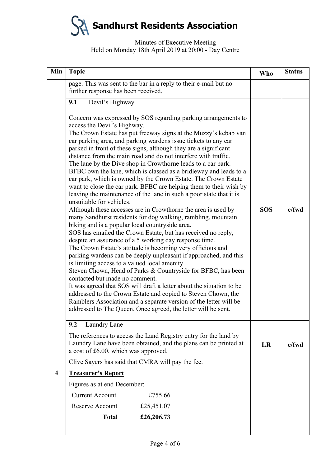| Min                     | <b>Topic</b>                                                                                                                                                                                                                                                                                                                                                                                                                                                                                                                                                                                                                                                                                                                                                                                                                                                                                                                                                                                                                                                                                                                                                                                                                                                                                                                                                                                                                                                                                                                                                                                                                                                     | Who        | <b>Status</b> |
|-------------------------|------------------------------------------------------------------------------------------------------------------------------------------------------------------------------------------------------------------------------------------------------------------------------------------------------------------------------------------------------------------------------------------------------------------------------------------------------------------------------------------------------------------------------------------------------------------------------------------------------------------------------------------------------------------------------------------------------------------------------------------------------------------------------------------------------------------------------------------------------------------------------------------------------------------------------------------------------------------------------------------------------------------------------------------------------------------------------------------------------------------------------------------------------------------------------------------------------------------------------------------------------------------------------------------------------------------------------------------------------------------------------------------------------------------------------------------------------------------------------------------------------------------------------------------------------------------------------------------------------------------------------------------------------------------|------------|---------------|
|                         | page. This was sent to the bar in a reply to their e-mail but no<br>further response has been received.                                                                                                                                                                                                                                                                                                                                                                                                                                                                                                                                                                                                                                                                                                                                                                                                                                                                                                                                                                                                                                                                                                                                                                                                                                                                                                                                                                                                                                                                                                                                                          |            |               |
|                         | Devil's Highway<br>9.1                                                                                                                                                                                                                                                                                                                                                                                                                                                                                                                                                                                                                                                                                                                                                                                                                                                                                                                                                                                                                                                                                                                                                                                                                                                                                                                                                                                                                                                                                                                                                                                                                                           |            |               |
|                         | Concern was expressed by SOS regarding parking arrangements to<br>access the Devil's Highway.<br>The Crown Estate has put freeway signs at the Muzzy's kebab van<br>car parking area, and parking wardens issue tickets to any car<br>parked in front of these signs, although they are a significant<br>distance from the main road and do not interfere with traffic.<br>The lane by the Dive shop in Crowthorne leads to a car park.<br>BFBC own the lane, which is classed as a bridleway and leads to a<br>car park, which is owned by the Crown Estate. The Crown Estate<br>want to close the car park. BFBC are helping them to their wish by<br>leaving the maintenance of the lane in such a poor state that it is<br>unsuitable for vehicles.<br>Although these accesses are in Crowthorne the area is used by<br>many Sandhurst residents for dog walking, rambling, mountain<br>biking and is a popular local countryside area.<br>SOS has emailed the Crown Estate, but has received no reply,<br>despite an assurance of a 5 working day response time.<br>The Crown Estate's attitude is becoming very officious and<br>parking wardens can be deeply unpleasant if approached, and this<br>is limiting access to a valued local amenity.<br>Steven Chown, Head of Parks & Countryside for BFBC, has been<br>contacted but made no comment.<br>It was agreed that SOS will draft a letter about the situation to be<br>addressed to the Crown Estate and copied to Steven Chown, the<br>Ramblers Association and a separate version of the letter will be<br>addressed to The Queen. Once agreed, the letter will be sent.<br>9.2<br>Laundry Lane | <b>SOS</b> | $c$ /fwd      |
|                         | The references to access the Land Registry entry for the land by<br>Laundry Lane have been obtained, and the plans can be printed at<br>a cost of £6.00, which was approved.                                                                                                                                                                                                                                                                                                                                                                                                                                                                                                                                                                                                                                                                                                                                                                                                                                                                                                                                                                                                                                                                                                                                                                                                                                                                                                                                                                                                                                                                                     | <b>LR</b>  | $c$ /fwd      |
|                         | Clive Sayers has said that CMRA will pay the fee.                                                                                                                                                                                                                                                                                                                                                                                                                                                                                                                                                                                                                                                                                                                                                                                                                                                                                                                                                                                                                                                                                                                                                                                                                                                                                                                                                                                                                                                                                                                                                                                                                |            |               |
| $\overline{\mathbf{4}}$ | <b>Treasurer's Report</b>                                                                                                                                                                                                                                                                                                                                                                                                                                                                                                                                                                                                                                                                                                                                                                                                                                                                                                                                                                                                                                                                                                                                                                                                                                                                                                                                                                                                                                                                                                                                                                                                                                        |            |               |
|                         | Figures as at end December:                                                                                                                                                                                                                                                                                                                                                                                                                                                                                                                                                                                                                                                                                                                                                                                                                                                                                                                                                                                                                                                                                                                                                                                                                                                                                                                                                                                                                                                                                                                                                                                                                                      |            |               |
|                         | <b>Current Account</b><br>£755.66                                                                                                                                                                                                                                                                                                                                                                                                                                                                                                                                                                                                                                                                                                                                                                                                                                                                                                                                                                                                                                                                                                                                                                                                                                                                                                                                                                                                                                                                                                                                                                                                                                |            |               |
|                         | Reserve Account<br>£25,451.07                                                                                                                                                                                                                                                                                                                                                                                                                                                                                                                                                                                                                                                                                                                                                                                                                                                                                                                                                                                                                                                                                                                                                                                                                                                                                                                                                                                                                                                                                                                                                                                                                                    |            |               |
|                         | £26,206.73<br><b>Total</b>                                                                                                                                                                                                                                                                                                                                                                                                                                                                                                                                                                                                                                                                                                                                                                                                                                                                                                                                                                                                                                                                                                                                                                                                                                                                                                                                                                                                                                                                                                                                                                                                                                       |            |               |
|                         |                                                                                                                                                                                                                                                                                                                                                                                                                                                                                                                                                                                                                                                                                                                                                                                                                                                                                                                                                                                                                                                                                                                                                                                                                                                                                                                                                                                                                                                                                                                                                                                                                                                                  |            |               |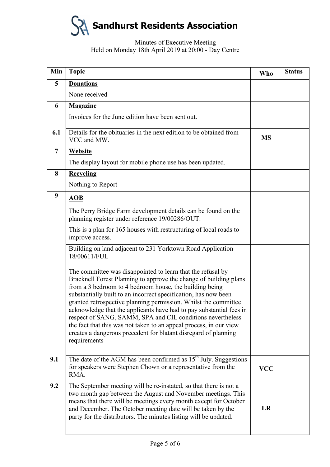| Min            | <b>Topic</b>                                                                                                                                                                                                                                                                                                                                                                                                                                                                                                                                                                                                                    | Who        | <b>Status</b> |
|----------------|---------------------------------------------------------------------------------------------------------------------------------------------------------------------------------------------------------------------------------------------------------------------------------------------------------------------------------------------------------------------------------------------------------------------------------------------------------------------------------------------------------------------------------------------------------------------------------------------------------------------------------|------------|---------------|
| 5              | <b>Donations</b>                                                                                                                                                                                                                                                                                                                                                                                                                                                                                                                                                                                                                |            |               |
|                | None received                                                                                                                                                                                                                                                                                                                                                                                                                                                                                                                                                                                                                   |            |               |
| 6              | <b>Magazine</b>                                                                                                                                                                                                                                                                                                                                                                                                                                                                                                                                                                                                                 |            |               |
|                | Invoices for the June edition have been sent out.                                                                                                                                                                                                                                                                                                                                                                                                                                                                                                                                                                               |            |               |
| 6.1            | Details for the obituaries in the next edition to be obtained from<br>VCC and MW.                                                                                                                                                                                                                                                                                                                                                                                                                                                                                                                                               | <b>MS</b>  |               |
| $\overline{7}$ | Website                                                                                                                                                                                                                                                                                                                                                                                                                                                                                                                                                                                                                         |            |               |
|                | The display layout for mobile phone use has been updated.                                                                                                                                                                                                                                                                                                                                                                                                                                                                                                                                                                       |            |               |
| 8              | <b>Recycling</b>                                                                                                                                                                                                                                                                                                                                                                                                                                                                                                                                                                                                                |            |               |
|                | Nothing to Report                                                                                                                                                                                                                                                                                                                                                                                                                                                                                                                                                                                                               |            |               |
| 9              | <b>AOB</b>                                                                                                                                                                                                                                                                                                                                                                                                                                                                                                                                                                                                                      |            |               |
|                | The Perry Bridge Farm development details can be found on the<br>planning register under reference 19/00286/OUT.                                                                                                                                                                                                                                                                                                                                                                                                                                                                                                                |            |               |
|                | This is a plan for 165 houses with restructuring of local roads to<br>improve access.                                                                                                                                                                                                                                                                                                                                                                                                                                                                                                                                           |            |               |
|                | Building on land adjacent to 231 Yorktown Road Application<br>18/00611/FUL                                                                                                                                                                                                                                                                                                                                                                                                                                                                                                                                                      |            |               |
|                | The committee was disappointed to learn that the refusal by<br>Bracknell Forest Planning to approve the change of building plans<br>from a 3 bedroom to 4 bedroom house, the building being<br>substantially built to an incorrect specification, has now been<br>granted retrospective planning permission. Whilst the committee<br>acknowledge that the applicants have had to pay substantial fees in<br>respect of SANG, SAMM, SPA and CIL conditions nevertheless<br>the fact that this was not taken to an appeal process, in our view<br>creates a dangerous precedent for blatant disregard of planning<br>requirements |            |               |
| 9.1            | The date of the AGM has been confirmed as $15th$ July. Suggestions<br>for speakers were Stephen Chown or a representative from the<br>RMA.                                                                                                                                                                                                                                                                                                                                                                                                                                                                                      | <b>VCC</b> |               |
| 9.2            | The September meeting will be re-instated, so that there is not a<br>two month gap between the August and November meetings. This<br>means that there will be meetings every month except for October<br>and December. The October meeting date will be taken by the<br>party for the distributors. The minutes listing will be updated.                                                                                                                                                                                                                                                                                        | LR         |               |